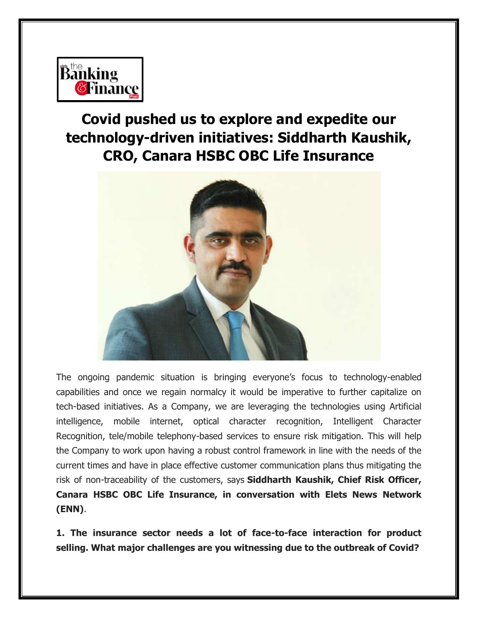

# **Covid pushed us to explore and expedite our technology-driven initiatives: Siddharth Kaushik, CRO, Canara HSBC OBC Life Insurance**



The ongoing pandemic situation is bringing everyone's focus to technology-enabled capabilities and once we regain normalcy it would be imperative to further capitalize on tech-based initiatives. As a Company, we are leveraging the technologies using Artificial intelligence, mobile internet, optical character recognition, Intelligent Character Recognition, tele/mobile telephony-based services to ensure risk mitigation. This will help the Company to work upon having a robust control framework in line with the needs of the current times and have in place effective customer communication plans thus mitigating the risk of non-traceability of the customers, says **Siddharth Kaushik, Chief Risk Officer, Canara HSBC OBC Life Insurance, in conversation with Elets News Network (ENN)**.

**1. The insurance sector needs a lot of face-to-face interaction for product selling. What major challenges are you witnessing due to the outbreak of Covid?**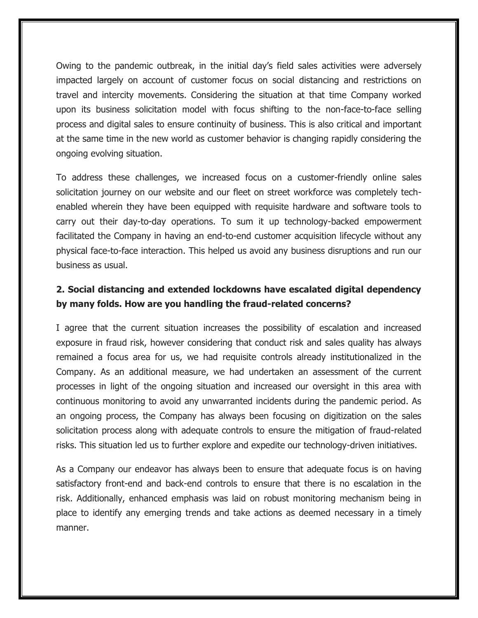Owing to the pandemic outbreak, in the initial day's field sales activities were adversely impacted largely on account of customer focus on social distancing and restrictions on travel and intercity movements. Considering the situation at that time Company worked upon its business solicitation model with focus shifting to the non-face-to-face selling process and digital sales to ensure continuity of business. This is also critical and important at the same time in the new world as customer behavior is changing rapidly considering the ongoing evolving situation.

To address these challenges, we increased focus on a customer-friendly online sales solicitation journey on our website and our fleet on street workforce was completely techenabled wherein they have been equipped with requisite hardware and software tools to carry out their day-to-day operations. To sum it up technology-backed empowerment facilitated the Company in having an end-to-end customer acquisition lifecycle without any physical face-to-face interaction. This helped us avoid any business disruptions and run our business as usual.

## **2. Social distancing and extended lockdowns have escalated digital dependency by many folds. How are you handling the fraud-related concerns?**

I agree that the current situation increases the possibility of escalation and increased exposure in fraud risk, however considering that conduct risk and sales quality has always remained a focus area for us, we had requisite controls already institutionalized in the Company. As an additional measure, we had undertaken an assessment of the current processes in light of the ongoing situation and increased our oversight in this area with continuous monitoring to avoid any unwarranted incidents during the pandemic period. As an ongoing process, the Company has always been focusing on digitization on the sales solicitation process along with adequate controls to ensure the mitigation of fraud-related risks. This situation led us to further explore and expedite our technology-driven initiatives.

As a Company our endeavor has always been to ensure that adequate focus is on having satisfactory front-end and back-end controls to ensure that there is no escalation in the risk. Additionally, enhanced emphasis was laid on robust monitoring mechanism being in place to identify any emerging trends and take actions as deemed necessary in a timely manner.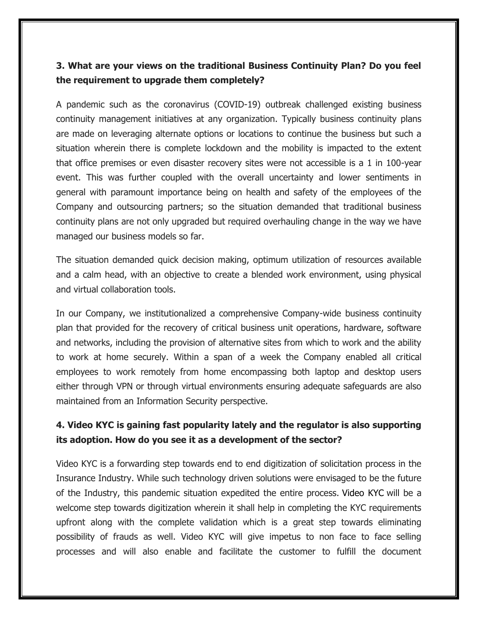### **3. What are your views on the traditional Business Continuity Plan? Do you feel the requirement to upgrade them completely?**

A pandemic such as the coronavirus (COVID-19) outbreak challenged existing business continuity management initiatives at any organization. Typically business continuity plans are made on leveraging alternate options or locations to continue the business but such a situation wherein there is complete lockdown and the mobility is impacted to the extent that office premises or even disaster recovery sites were not accessible is a 1 in 100-year event. This was further coupled with the overall uncertainty and lower sentiments in general with paramount importance being on health and safety of the employees of the Company and outsourcing partners; so the situation demanded that traditional business continuity plans are not only upgraded but required overhauling change in the way we have managed our business models so far.

The situation demanded quick decision making, optimum utilization of resources available and a calm head, with an objective to create a blended work environment, using physical and virtual collaboration tools.

In our Company, we institutionalized a comprehensive Company-wide business continuity plan that provided for the recovery of critical business unit operations, hardware, software and networks, including the provision of alternative sites from which to work and the ability to work at home securely. Within a span of a week the Company enabled all critical employees to work remotely from home encompassing both laptop and desktop users either through VPN or through virtual environments ensuring adequate safeguards are also maintained from an Information Security perspective.

#### **4. Video KYC is gaining fast popularity lately and the regulator is also supporting its adoption. How do you see it as a development of the sector?**

Video KYC is a forwarding step towards end to end digitization of solicitation process in the Insurance Industry. While such technology driven solutions were envisaged to be the future of the Industry, this pandemic situation expedited the entire process. Video KYC will be a welcome step towards digitization wherein it shall help in completing the KYC requirements upfront along with the complete validation which is a great step towards eliminating possibility of frauds as well. Video KYC will give impetus to non face to face selling processes and will also enable and facilitate the customer to fulfill the document